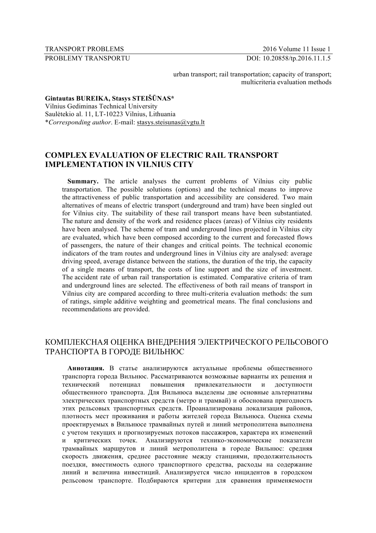TRANSPORT PROBLEMS 2016 Volume 11 Issue 1

PROBLEMY TRANSPORTU DOI: 10.20858/tp.2016.11.1.5

urban transport; rail transportation; capacity of transport; multicriteria evaluation methods

**Gintautas BUREIKA, Stasys STEIŠŪNAS\***

Vilnius Gediminas Technical University Saulėtekio al. 11, LT-10223 Vilnius, Lithuania \**Corresponding author*. E-mail: stasys.steisunas@vgtu.lt

# **COMPLEX EVALUATION OF ELECTRIC RAIL TRANSPORT IMPLEMENTATION IN VILNIUS CITY**

**Summary.** The article analyses the current problems of Vilnius city public transportation. The possible solutions (options) and the technical means to improve the attractiveness of public transportation and accessibility are considered. Two main alternatives of means of electric transport (underground and tram) have been singled out for Vilnius city. The suitability of these rail transport means have been substantiated. The nature and density of the work and residence places (areas) of Vilnius city residents have been analysed. The scheme of tram and underground lines projected in Vilnius city are evaluated, which have been composed according to the current and forecasted flows of passengers, the nature of their changes and critical points. The technical economic indicators of the tram routes and underground lines in Vilnius city are analysed: average driving speed, average distance between the stations, the duration of the trip, the capacity of a single means of transport, the costs of line support and the size of investment. The accident rate of urban rail transportation is estimated. Comparative criteria of tram and underground lines are selected. The effectiveness of both rail means of transport in Vilnius city are compared according to three multi-criteria evaluation methods: the sum of ratings, simple additive weighting and geometrical means. The final conclusions and recommendations are provided.

# КОМПЛЕКСНАЯ ОЦЕНКА ВНЕДРЕНИЯ ЭЛЕКТРИЧЕСКОГО РЕЛЬСОВОГО ТРАНСПОРТА В ГОРОДЕ ВИЛЬНЮС

**Аннотация.** В статье анализируются актуальные проблемы общественного транспорта города Вильнюс. Рассматриваются возможные варианты их решения и технический потенциал повышения привлекательности и доступности общественного транспорта. Для Вильнюса выделены две основные альтернативы электрических транспортных средств (метро и трамвай) и обоснована пригодность этих рельсовых транспортных средств. Проанализирована локализация районов, плотность мест проживания и работы жителей города Вильнюса. Оценка схемы проектируемых в Вильнюсе трамвайных путей и линий метрополитена выполнена с учетом текущих и прогнозируемых потоков пассажиров, характера их изменений и критических точек. Анализируются технико-экономические показатели трамвайных маршрутов и линий метрополитена в городе Вильнюс: средняя скорость движения, среднее расстояние между станциями, продолжительность поездки, вместимость одного транспортного средства, расходы на содержание линий и величина инвестиций. Анализируется число инцидентов в городском рельсовом транспорте. Подбираются критерии для сравнения применяемости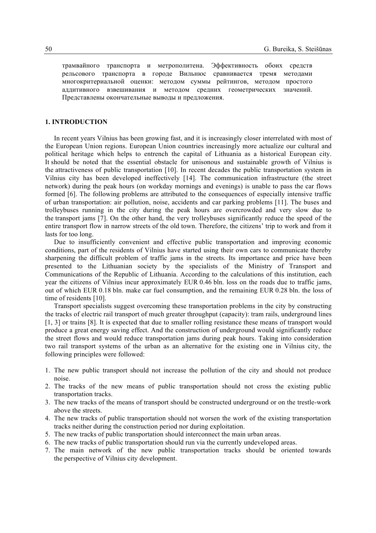трамвайного транспорта и метрополитена. Эффективность обоих средств рельсового транспорта в городе Вильнюс сравнивается тремя методами многокритериальной оценки: методом суммы рейтингов, методом простого аддитивного взвешивания и методом средних геометрических значений. Представлены окончательные выводы и предложения.

## **1. INTRODUCTION**

In recent years Vilnius has been growing fast, and it is increasingly closer interrelated with most of the European Union regions. European Union countries increasingly more actualize our cultural and political heritage which helps to entrench the capital of Lithuania as a historical European city. It should be noted that the essential obstacle for unisonous and sustainable growth of Vilnius is the attractiveness of public transportation [10]. In recent decades the public transportation system in Vilnius city has been developed ineffectively [14]. The communication infrastructure (the street network) during the peak hours (on workday mornings and evenings) is unable to pass the car flows formed [6]. The following problems are attributed to the consequences of especially intensive traffic of urban transportation: air pollution, noise, accidents and car parking problems [11]. The buses and trolleybuses running in the city during the peak hours are overcrowded and very slow due to the transport jams [7]. On the other hand, the very trolleybuses significantly reduce the speed of the entire transport flow in narrow streets of the old town. Therefore, the citizens' trip to work and from it lasts for too long.

Due to insufficiently convenient and effective public transportation and improving economic conditions, part of the residents of Vilnius have started using their own cars to communicate thereby sharpening the difficult problem of traffic jams in the streets. Its importance and price have been presented to the Lithuanian society by the specialists of the Ministry of Transport and Communications of the Republic of Lithuania. According to the calculations of this institution, each year the citizens of Vilnius incur approximately EUR 0.46 bln. loss on the roads due to traffic jams, out of which EUR 0.18 bln. make car fuel consumption, and the remaining EUR 0.28 bln. the loss of time of residents [10].

Transport specialists suggest overcoming these transportation problems in the city by constructing the tracks of electric rail transport of much greater throughput (capacity): tram rails, underground lines [1, 3] or trains [8]. It is expected that due to smaller rolling resistance these means of transport would produce a great energy saving effect. And the construction of underground would significantly reduce the street flows and would reduce transportation jams during peak hours. Taking into consideration two rail transport systems of the urban as an alternative for the existing one in Vilnius city, the following principles were followed:

- 1. The new public transport should not increase the pollution of the city and should not produce noise.
- 2. The tracks of the new means of public transportation should not cross the existing public transportation tracks.
- 3. The new tracks of the means of transport should be constructed underground or on the trestle-work above the streets.
- 4. The new tracks of public transportation should not worsen the work of the existing transportation tracks neither during the construction period nor during exploitation.
- 5. The new tracks of public transportation should interconnect the main urban areas.
- 6. The new tracks of public transportation should run via the currently undeveloped areas.
- 7. The main network of the new public transportation tracks should be oriented towards the perspective of Vilnius city development.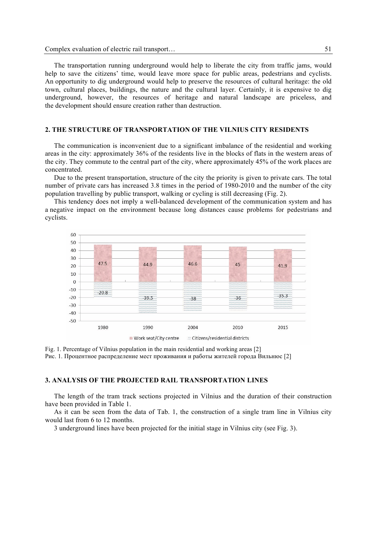The transportation running underground would help to liberate the city from traffic jams, would help to save the citizens' time, would leave more space for public areas, pedestrians and cyclists. An opportunity to dig underground would help to preserve the resources of cultural heritage: the old town, cultural places, buildings, the nature and the cultural layer. Certainly, it is expensive to dig underground, however, the resources of heritage and natural landscape are priceless, and the development should ensure creation rather than destruction.

## **2. THE STRUCTURE OF TRANSPORTATION OF THE VILNIUS CITY RESIDENTS**

The communication is inconvenient due to a significant imbalance of the residential and working areas in the city: approximately 36% of the residents live in the blocks of flats in the western areas of the city. They commute to the central part of the city, where approximately 45% of the work places are concentrated.

Due to the present transportation, structure of the city the priority is given to private cars. The total number of private cars has increased 3.8 times in the period of 1980-2010 and the number of the city population travelling by public transport, walking or cycling is still decreasing (Fig. 2).

This tendency does not imply a well-balanced development of the communication system and has a negative impact on the environment because long distances cause problems for pedestrians and cyclists.



Fig. 1. Percentage of Vilnius population in the main residential and working areas [2] Рис. 1. Процентное распределение мест проживания и работы жителей города Вильнюс [2]

#### **3. ANALYSIS OF THE PROJECTED RAIL TRANSPORTATION LINES**

The length of the tram track sections projected in Vilnius and the duration of their construction have been provided in Table 1.

As it can be seen from the data of Tab. 1, the construction of a single tram line in Vilnius city would last from 6 to 12 months.

3 underground lines have been projected for the initial stage in Vilnius city (see Fig. 3).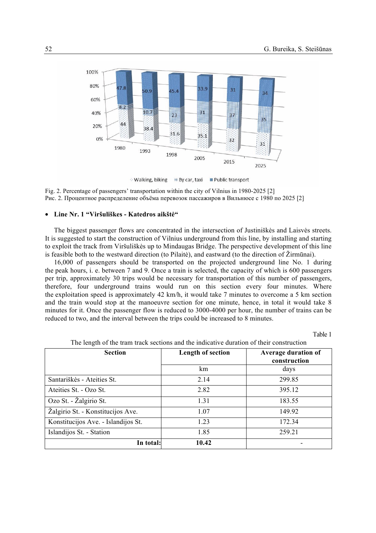

Walking, biking # By car, taxi ■ Public transport

Fig. 2. Percentage of passengers' transportation within the city of Vilnius in 1980-2025 [2] Рис. 2. Процентное распределение объёма перевозок пассажиров в Вильнюсе с 1980 по 2025 [2]

## • **Line Nr. 1 "Viršuliškes - Katedros aikštė"**

The biggest passenger flows are concentrated in the intersection of Justiniškės and Laisvės streets. It is suggested to start the construction of Vilnius underground from this line, by installing and starting to exploit the track from Viršuliškės up to Mindaugas Bridge. The perspective development of this line is feasible both to the westward direction (to Pilaitė), and eastward (to the direction of Žirmūnai).

16,000 of passengers should be transported on the projected underground line No. 1 during the peak hours, i. e. between 7 and 9. Once a train is selected, the capacity of which is 600 passengers per trip, approximately 30 trips would be necessary for transportation of this number of passengers, therefore, four underground trains would run on this section every four minutes. Where the exploitation speed is approximately 42 km/h, it would take 7 minutes to overcome a 5 km section and the train would stop at the manoeuvre section for one minute, hence, in total it would take 8 minutes for it. Once the passenger flow is reduced to 3000-4000 per hour, the number of trains can be reduced to two, and the interval between the trips could be increased to 8 minutes.

Table 1

| <b>Section</b>                      | <b>Length of section</b> | <b>Average duration of</b><br>construction |  |  |
|-------------------------------------|--------------------------|--------------------------------------------|--|--|
|                                     | km                       | days                                       |  |  |
| Santariškės - Ateities St.          | 2.14                     | 299.85                                     |  |  |
| Ateities St. - Ozo St.              | 2.82                     | 395.12                                     |  |  |
| Ozo St. - Žalgirio St.              | 1.31                     | 183.55                                     |  |  |
| Žalgirio St. - Konstitucijos Ave.   | 1.07                     | 149.92                                     |  |  |
| Konstitucijos Ave. - Islandijos St. | 1.23                     | 172.34                                     |  |  |
| Islandijos St. - Station            | 1.85                     | 259.21                                     |  |  |
| In total:                           | 10.42                    |                                            |  |  |

The length of the tram track sections and the indicative duration of their construction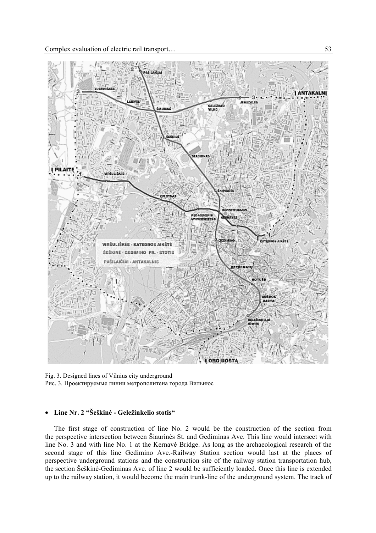

Fig. 3. Designed lines of Vilnius city underground Рис. 3. Проектируемые линии метрополитена города Вильнюс

# • **Line Nr. 2 "Šeškinė - Geležinkelio stotis"**

The first stage of construction of line No. 2 would be the construction of the section from the perspective intersection between Šiaurinės St. and Gediminas Ave. This line would intersect with line No. 3 and with line No. 1 at the Kernavė Bridge. As long as the archaeological research of the second stage of this line Gedimino Ave.-Railway Station section would last at the places of perspective underground stations and the construction site of the railway station transportation hub, the section Šeškinė-Gediminas Ave. of line 2 would be sufficiently loaded. Once this line is extended up to the railway station, it would become the main trunk-line of the underground system. The track of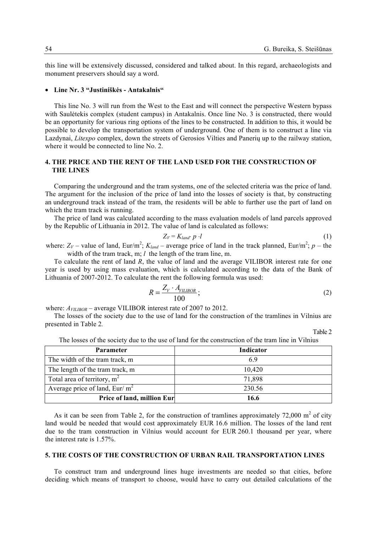this line will be extensively discussed, considered and talked about. In this regard, archaeologists and monument preservers should say a word.

## • **Line Nr. 3 "Justiniškės - Antakalnis"**

This line No. 3 will run from the West to the East and will connect the perspective Western bypass with Saulėtekis complex (student campus) in Antakalnis. Once line No. 3 is constructed, there would be an opportunity for various ring options of the lines to be constructed. In addition to this, it would be possible to develop the transportation system of underground. One of them is to construct a line via Lazdynai, *Litexpo* complex, down the streets of Gerosios Vilties and Panerių up to the railway station, where it would be connected to line No. 2.

## **4. THE PRICE AND THE RENT OF THE LAND USED FOR THE CONSTRUCTION OF THE LINES**

Comparing the underground and the tram systems, one of the selected criteria was the price of land. The argument for the inclusion of the price of land into the losses of society is that, by constructing an underground track instead of the tram, the residents will be able to further use the part of land on which the tram track is running.

The price of land was calculated according to the mass evaluation models of land parcels approved by the Republic of Lithuania in 2012. The value of land is calculated as follows:

$$
Z_V = K_{land} \cdot p \cdot l \tag{1}
$$

where:  $Z_V$  – value of land, Eur/m<sup>2</sup>;  $K_{land}$  – average price of land in the track planned, Eur/m<sup>2</sup>; *p* – the width of the tram track, m; *l* the length of the tram line, m.

To calculate the rent of land *R*, the value of land and the average VILIBOR interest rate for one year is used by using mass evaluation, which is calculated according to the data of the Bank of Lithuania of 2007-2012. To calculate the rent the following formula was used:

$$
R = \frac{Z_V \cdot A_{VILIBOR}}{100};
$$
\n<sup>(2)</sup>

where:  $A_{VILIBOR}$  – average VILIBOR interest rate of 2007 to 2012.

The losses of the society due to the use of land for the construction of the tramlines in Vilnius are presented in Table 2*.*

Table 2

| <b>Parameter</b>                  | <b>Indicator</b> |
|-----------------------------------|------------------|
| The width of the tram track, m    | 6.9              |
| The length of the tram track, m   | 10,420           |
| Total area of territory, $m2$     | 71,898           |
| Average price of land, Eur/ $m^2$ | 230.56           |
| Price of land, million Eur        | 16.6             |

The losses of the society due to the use of land for the construction of the tram line in Vilnius

As it can be seen from Table 2, for the construction of tramlines approximately 72,000  $m<sup>2</sup>$  of city land would be needed that would cost approximately EUR 16.6 million. The losses of the land rent due to the tram construction in Vilnius would account for EUR 260.1 thousand per year, where the interest rate is 1.57%.

## **5. THE COSTS OF THE CONSTRUCTION OF URBAN RAIL TRANSPORTATION LINES**

To construct tram and underground lines huge investments are needed so that cities, before deciding which means of transport to choose, would have to carry out detailed calculations of the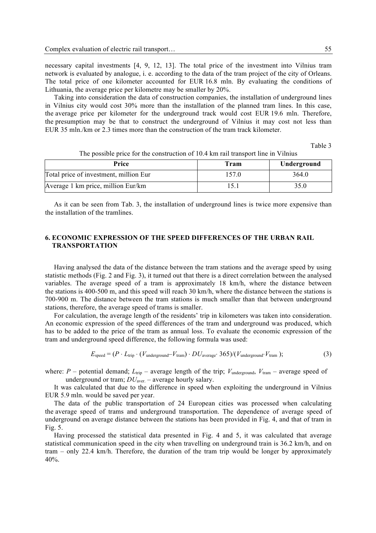necessary capital investments [4, 9, 12, 13]. The total price of the investment into Vilnius tram network is evaluated by analogue, i. e. according to the data of the tram project of the city of Orleans. The total price of one kilometer accounted for EUR 16.8 mln. By evaluating the conditions of Lithuania, the average price per kilometre may be smaller by 20%.

Taking into consideration the data of construction companies, the installation of underground lines in Vilnius city would cost 30% more than the installation of the planned tram lines. In this case, the average price per kilometer for the underground track would cost EUR 19.6 mln. Therefore, the presumption may be that to construct the underground of Vilnius it may cost not less than EUR 35 mln./km or 2.3 times more than the construction of the tram track kilometer.

Table 3

| Price                                  | Tram  | Underground |  |
|----------------------------------------|-------|-------------|--|
| Total price of investment, million Eur | 157.0 | 364.0       |  |
| Average 1 km price, million Eur/km     |       | 35.0        |  |

The possible price for the construction of 10.4 km rail transport line in Vilnius

As it can be seen from Tab. 3, the installation of underground lines is twice more expensive than the installation of the tramlines.

# **6. ECONOMIC EXPRESSION OF THE SPEED DIFFERENCES OF THE URBAN RAIL TRANSPORTATION**

Having analysed the data of the distance between the tram stations and the average speed by using statistic methods (Fig. 2 and Fig. 3), it turned out that there is a direct correlation between the analysed variables. The average speed of a tram is approximately 18 km/h, where the distance between the stations is 400-500 m, and this speed will reach 30 km/h, where the distance between the stations is 700-900 m. The distance between the tram stations is much smaller than that between underground stations, therefore, the average speed of trams is smaller.

For calculation, the average length of the residents' trip in kilometers was taken into consideration. An economic expression of the speed differences of the tram and underground was produced, which has to be added to the price of the tram as annual loss. To evaluate the economic expression of the tram and underground speed difference, the following formula was used:

$$
E_{\text{speed}} = (P \cdot L_{\text{trip}} \cdot (V_{\text{underground}} - V_{\text{tram}}) \cdot DU_{\text{average}} \cdot 365) / (V_{\text{underground}} \cdot V_{\text{tram}}); \tag{3}
$$

where: *P* – potential demand;  $L_{\text{trip}}$  – average length of the trip;  $V_{\text{underround}}$ ,  $V_{\text{tran}}$  – average speed of underground or tram;  $DU$ <sub>aver.</sub> – average hourly salary.

It was calculated that due to the difference in speed when exploiting the underground in Vilnius EUR 5.9 mln. would be saved per year.

The data of the public transportation of 24 European cities was processed when calculating the average speed of trams and underground transportation. The dependence of average speed of underground on average distance between the stations has been provided in Fig. 4, and that of tram in Fig. 5.

Having processed the statistical data presented in Fig. 4 and 5, it was calculated that average statistical communication speed in the city when travelling on underground train is 36.2 km/h, and on tram – only 22.4 km/h. Therefore, the duration of the tram trip would be longer by approximately 40%.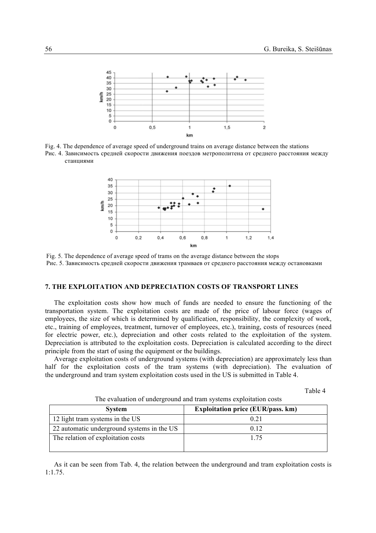

Fig. 4. The dependence of average speed of underground trains on average distance between the stations Рис. 4. Зависимость средней скорости движения поездов метрополитена от среднего расстояния между станциями



Fig. 5. The dependence of average speed of trams on the average distance between the stops Рис. 5. Зависимость средней скорости движения трамваев от среднего расстояния между остановками

## **7. THE EXPLOITATION AND DEPRECIATION COSTS OF TRANSPORT LINES**

The exploitation costs show how much of funds are needed to ensure the functioning of the transportation system. The exploitation costs are made of the price of labour force (wages of employees, the size of which is determined by qualification, responsibility, the complexity of work, etc., training of employees, treatment, turnover of employees, etc.), training, costs of resources (need for electric power, etc.), depreciation and other costs related to the exploitation of the system. Depreciation is attributed to the exploitation costs. Depreciation is calculated according to the direct principle from the start of using the equipment or the buildings.

Average exploitation costs of underground systems (with depreciation) are approximately less than half for the exploitation costs of the tram systems (with depreciation). The evaluation of the underground and tram system exploitation costs used in the US is submitted in Table 4.

Table 4

| <b>System</b>                              | <b>Exploitation price (EUR/pass. km)</b> |  |  |  |  |
|--------------------------------------------|------------------------------------------|--|--|--|--|
| 12 light tram systems in the US            | 0.21                                     |  |  |  |  |
| 22 automatic underground systems in the US | 0.12                                     |  |  |  |  |
| The relation of exploitation costs         | 175                                      |  |  |  |  |

The evaluation of underground and tram systems exploitation costs

As it can be seen from Tab. 4, the relation between the underground and tram exploitation costs is 1:1.75.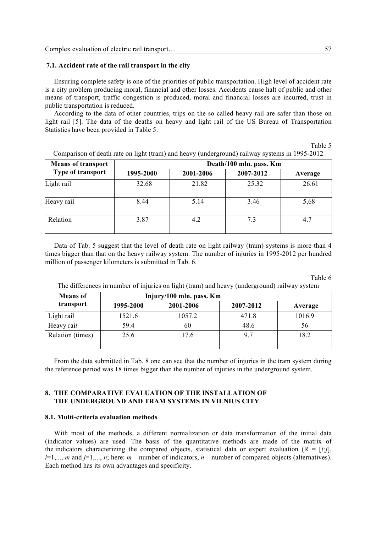### **7.1. Accident rate of the rail transport in the city**

Ensuring complete safety is one of the priorities of public transportation. High level of accident rate is a city problem producing moral, financial and other losses. Accidents cause halt of public and other means of transport, traffic congestion is produced, moral and financial losses are incurred, trust in public transportation is reduced.

According to the data of other countries, trips on the so called heavy rail are safer than those on light rail [5]. The data of the deaths on heavy and light rail of the US Bureau of Transportation Statistics have been provided in Table 5.

Table 5

| <b>Means of transport</b> | Death/100 mln. pass. Km |           |           |         |  |  |  |  |
|---------------------------|-------------------------|-----------|-----------|---------|--|--|--|--|
| Type of transport         | 1995-2000               | 2001-2006 | 2007-2012 | Average |  |  |  |  |
| Light rail                | 32.68                   | 21.82     | 25.32     | 26.61   |  |  |  |  |
| Heavy rail                | 8.44                    | 5.14      | 3.46      | 5,68    |  |  |  |  |
| Relation                  | 3.87                    | 4.2       | 7.3       | 4.7     |  |  |  |  |

Comparison of death rate on light (tram) and heavy (underground) railway systems in 1995-2012

Data of Tab. 5 suggest that the level of death rate on light railway (tram) systems is more than 4 times bigger than that on the heavy railway system. The number of injuries in 1995-2012 per hundred million of passenger kilometers is submitted in Tab. 6.

Table 6

| The differences in number of injuries on light (tram) and heavy (underground) railway system |  |  |  |  |  |  |  |
|----------------------------------------------------------------------------------------------|--|--|--|--|--|--|--|
|                                                                                              |  |  |  |  |  |  |  |

| <b>Means</b> of  | Injury/100 mln. pass. Km |           |           |         |  |  |  |  |
|------------------|--------------------------|-----------|-----------|---------|--|--|--|--|
| transport        | 1995-2000                | 2001-2006 | 2007-2012 | Average |  |  |  |  |
| Light rail       | 1521.6                   | 1057.2    | 471.8     | 1016.9  |  |  |  |  |
| Heavy rail       | 59.4                     | 60        | 48.6      | 56      |  |  |  |  |
| Relation (times) | 25.6                     | 17.6      | 9.7       | 18.2    |  |  |  |  |

From the data submitted in Tab. 8 one can see that the number of injuries in the tram system during the reference period was 18 times bigger than the number of injuries in the underground system.

# **8. THE COMPARATIVE EVALUATION OF THE INSTALLATION OF THE UNDERGROUND AND TRAM SYSTEMS IN VILNIUS CITY**

### **8.1. Multi-criteria evaluation methods**

With most of the methods, a different normalization or data transformation of the initial data (indicator values) are used. The basis of the quantitative methods are made of the matrix of the indicators characterizing the compared objects, statistical data or expert evaluation  $(R = [i,j],$  $i=1,\ldots, m$  and  $j=1,\ldots, n$ ; here:  $m-$  number of indicators,  $n-$  number of compared objects (alternatives). Each method has its own advantages and specificity.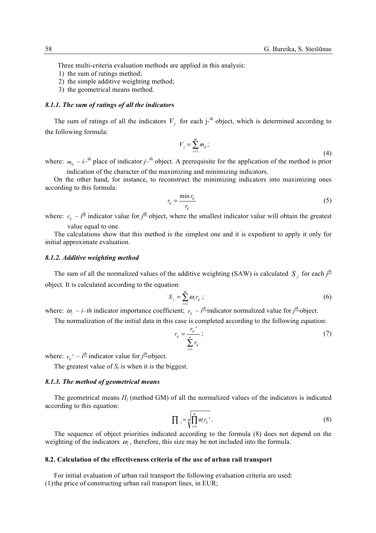Three multi-criteria evaluation methods are applied in this analysis:

- 1) the sum of ratings method;
- 2) the simple additive weighting method;
- 3) the geometrical means method.

#### *8.1.1. The sum of ratings of all the indicators*

The sum of ratings of all the indicators  $V_j$  for each j-<sup>th</sup> object, which is determined according to the following formula:

$$
V_j = \sum_{i=1}^m m_{ij};\tag{4}
$$

where:  $m_{ij} - i$ <sup>th</sup> place of indicator  $j$ <sup>th</sup> object. A prerequisite for the application of the method is prior indication of the character of the maximizing and minimizing indicators.

On the other hand, for instance, to reconstruct the minimizing indicators into maximizing ones according to this formula:

$$
r_{ij} = \frac{\min r_{ij}}{r_{ij}}\tag{5}
$$

where:  $r_{ij} - i^{th}$  indicator value for  $j^{th}$  object, where the smallest indicator value will obtain the greatest value equal to one.

The calculations show that this method is the simplest one and it is expedient to apply it only for initial approximate evaluation.

#### *8.1.2. Additive weighting method*

The sum of all the normalized values of the additive weighting (SAW) is calculated  $S_j$  for each  $j^{\text{th}}$ object. It is calculated according to the equation:

$$
S_j = \sum_{i=1}^m \omega_i r_{ij} ; \qquad (6)
$$

where:  $\omega_i$  – *i–th* indicator importance coefficient;  $r_{ij}$  –  $i^{\text{th}}$  indicator normalized value for  $j^{\text{th}}$  object.

The normalization of the initial data in this case is completed according to the following equation:

$$
r_{ij} = \frac{r_{ij}^{+}}{\sum_{i=1}^{n} r_{ij}};
$$
\n(7)

where:  $r_{ij}$ <sup>*r*</sup> –  $i^{\underline{th}}$  indicator value for  $j^{\underline{th}}$  object.

The greatest value of  $S_i$  is when it is the biggest.

### *8.1.3. The method of geometrical means*

The geometrical means *Π<sup>j</sup>* (method GM) of all the normalized values of the indicators is indicated according to this equation:

$$
\prod_{j} = \sqrt[m]{\prod_{i=1}^{m} \omega_{i} r_{ij}}.
$$
 (8)

The sequence of object priorities indicated according to the formula (8) does not depend on the weighting of the indicators  $\omega_i$ , therefore, this size may be not included into the formula.

### **8.2. Calculation of the effectiveness criteria of the use of urban rail transport**

For initial evaluation of urban rail transport the following evaluation criteria are used:  $(1)$  the price of constructing urban rail transport lines, in EUR;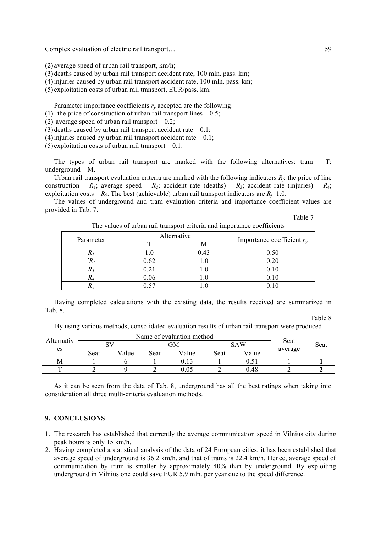(2) average speed of urban rail transport, km/h;

(3) deaths caused by urban rail transport accident rate, 100 mln. pass. km;

(4)injuries caused by urban rail transport accident rate, 100 mln. pass. km;

(5) exploitation costs of urban rail transport, EUR/pass. km.

Parameter importance coefficients  $r<sub>v</sub>$  accepted are the following:

- (1) the price of construction of urban rail transport lines  $-0.5$ ;
- (2) average speed of urban rail transport  $-0.2$ ;
- (3) deaths caused by urban rail transport accident rate  $-0.1$ ;

(4) injuries caused by urban rail transport accident rate  $-0.1$ ;

 $(5)$  exploitation costs of urban rail transport – 0.1.

The types of urban rail transport are marked with the following alternatives: tram  $-$  T; underground – M.

Urban rail transport evaluation criteria are marked with the following indicators  $R_i$ ; the price of line construction –  $R_1$ ; average speed –  $R_2$ ; accident rate (deaths) –  $R_3$ ; accident rate (injuries) –  $R_4$ ; exploitation costs –  $R_5$ . The best (achievable) urban rail transport indicators are  $R_7=1.0$ .

The values of underground and tram evaluation criteria and importance coefficient values are provided in Tab. 7.

Table 7

The values of urban rail transport criteria and importance coefficients

| Parameter | Alternative |      | Importance coefficient $r_v$ |  |
|-----------|-------------|------|------------------------------|--|
|           |             | IVI  |                              |  |
|           | .0          | 0.43 | 0.50                         |  |
|           | 0.62        | .U   | 0.20                         |  |
|           | 0.21        | . J  | 0.10                         |  |
|           | 0.06        | J.   | 0.10                         |  |
|           |             |      |                              |  |

Having completed calculations with the existing data, the results received are summarized in Tab. 8.

Table 8

By using various methods, consolidated evaluation results of urban rail transport were produced

| Alternativ |      | Name of evaluation method | Seat |            |            |       |         |      |
|------------|------|---------------------------|------|------------|------------|-------|---------|------|
|            |      |                           | GМ   |            | <b>SAW</b> |       |         | Seat |
| es         | Seat | Value                     | Seat | Value      | Seat       | Value | average |      |
| М          |      |                           |      |            |            |       |         |      |
|            |      |                           |      | $\rm 0.05$ |            | 0.48  |         |      |

As it can be seen from the data of Tab. 8, underground has all the best ratings when taking into consideration all three multi-criteria evaluation methods.

## **9. CONCLUSIONS**

- 1. The research has established that currently the average communication speed in Vilnius city during peak hours is only 15 km/h.
- 2. Having completed a statistical analysis of the data of 24 European cities, it has been established that average speed of underground is 36.2 km/h, and that of trams is 22.4 km/h. Hence, average speed of communication by tram is smaller by approximately 40% than by underground. By exploiting underground in Vilnius one could save EUR 5.9 mln. per year due to the speed difference.